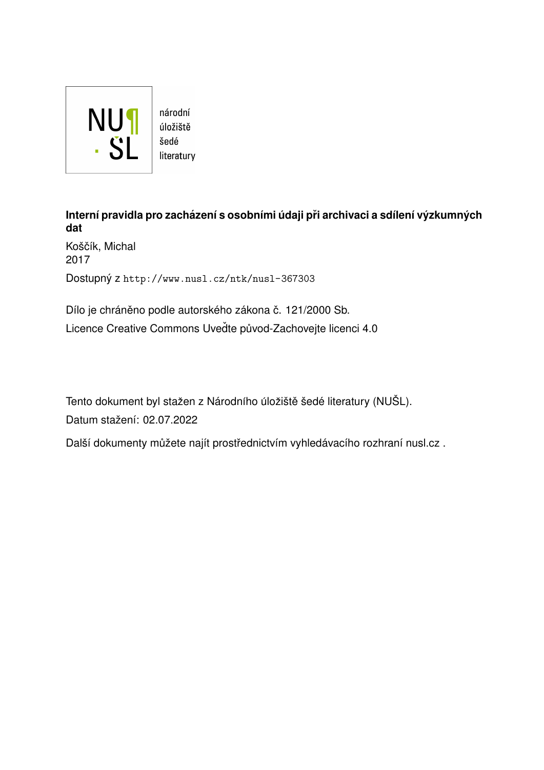

Interní pravidla pro zacházení s osobními údaji při archivaci a sdílení výzkumných **dat**

Koščík, Michal 2017 Dostupný z <http://www.nusl.cz/ntk/nusl-367303>

Dílo je chráněno podle autorského zákona č. 121/2000 Sb. Licence Creative Commons Uvedte původ-Zachovejte licenci 4.0

Tento dokument byl stažen z Národního úložiště šedé literatury (NUŠL).

Datum stažení: 02.07.2022

Další dokumenty můžete najít prostřednictvím vyhledávacího rozhraní [nusl.cz](http://www.nusl.cz) .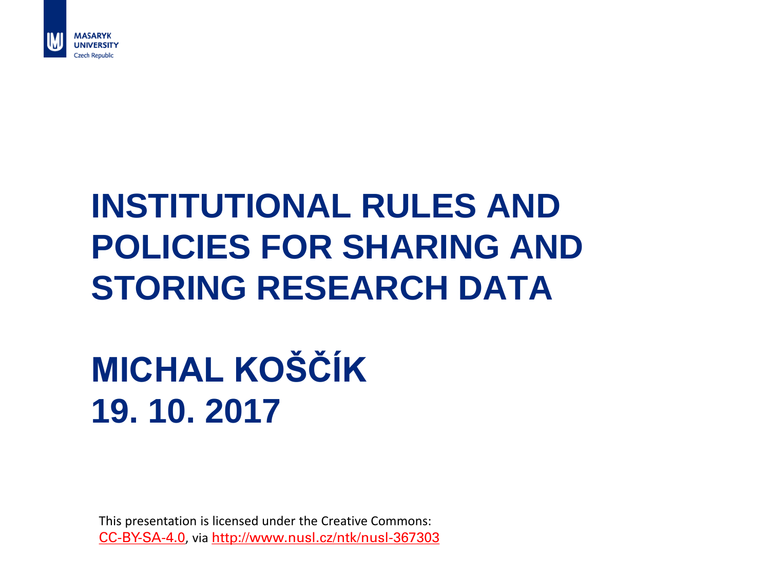

### **INSTITUTIONAL RULES AND POLICIES FOR SHARING AND STORING RESEARCH DATA**

### **MICHAL KOŠČÍK 19. 10. 2017**

This presentation is licensed under the Creative Commons: [CC-BY-SA-4.0](https://creativecommons.org/licenses/by-sa/4.0/), via <http://www.nusl.cz/ntk/nusl-367303>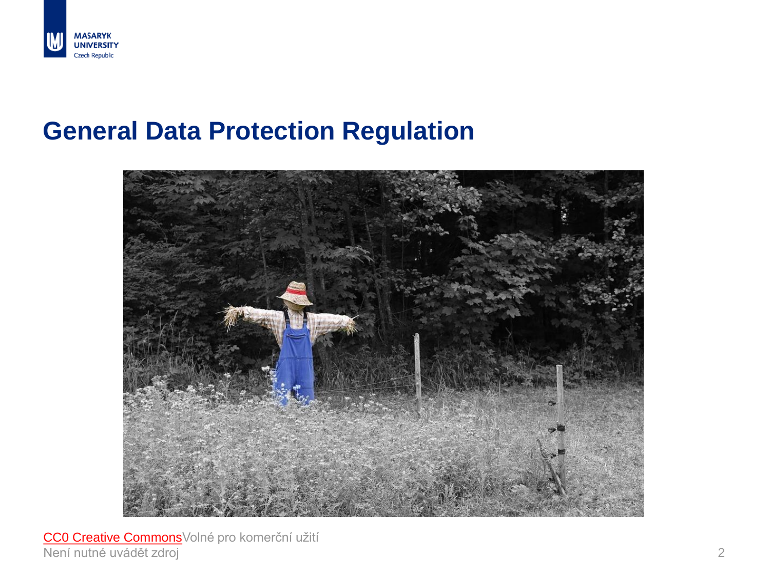

#### **General Data Protection Regulation**



[CC0 Creative](https://pixabay.com/cs/service/terms/#usage) Commons Volné pro komerční užití Není nutné uvádět zdroj 2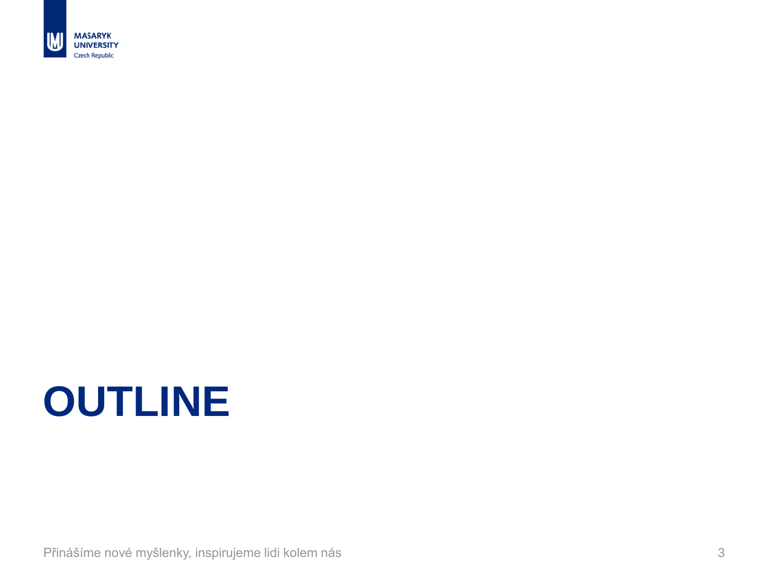

## **OUTLINE**

Přinášíme nové myšlenky, inspirujeme lidi kolem nás 3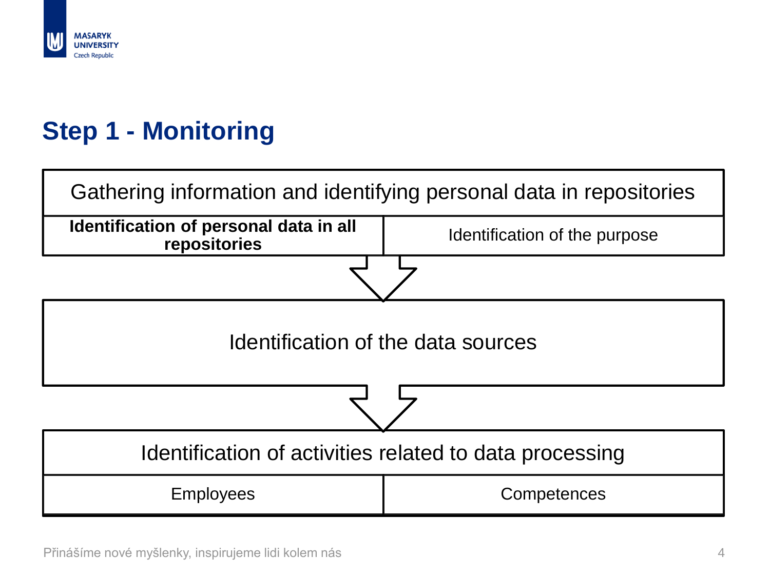

#### **Step 1 - Monitoring**

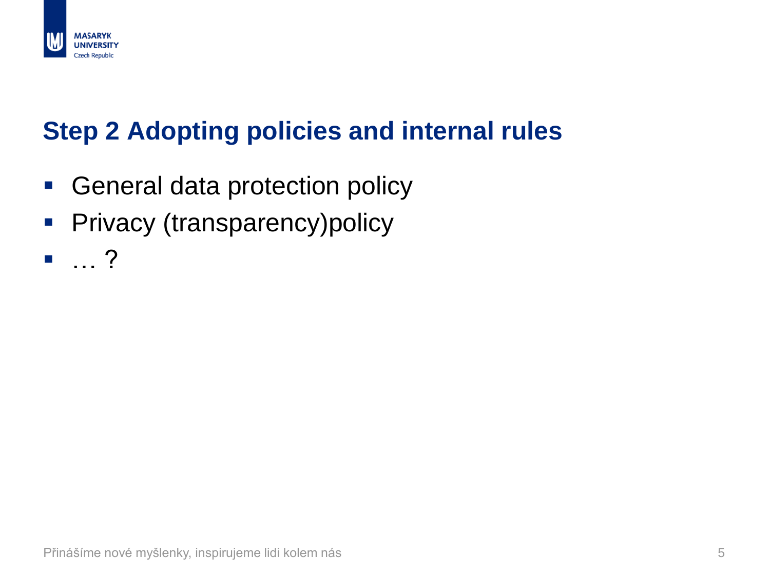

#### **Step 2 Adopting policies and internal rules**

- **General data protection policy**
- **Privacy (transparency)policy**
- … ?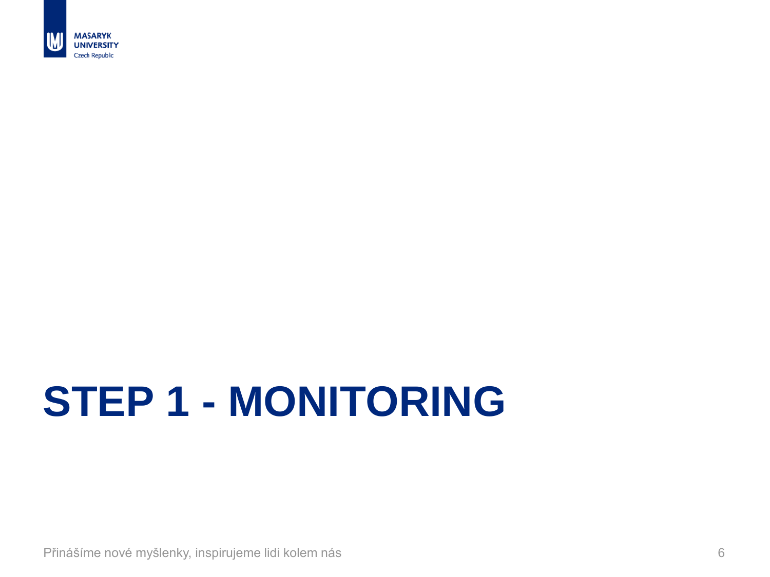

# **STEP 1 - MONITORING**

Přinášíme nové myšlenky, inspirujeme lidi kolem nás 6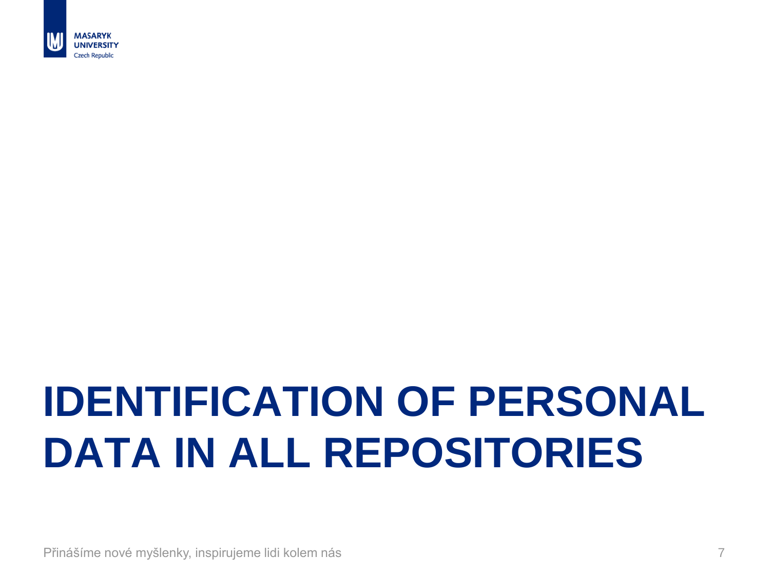

# **IDENTIFICATION OF PERSONAL DATA IN ALL REPOSITORIES**

Přinášíme nové myšlenky, inspirujeme lidi kolem nás 7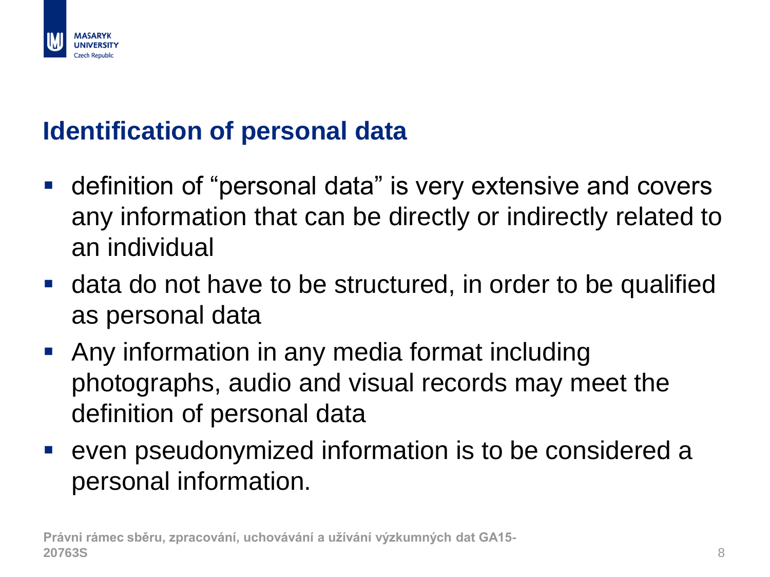

#### **Identification of personal data**

- definition of "personal data" is very extensive and covers any information that can be directly or indirectly related to an individual
- data do not have to be structured, in order to be qualified as personal data
- **-** Any information in any media format including photographs, audio and visual records may meet the definition of personal data
- even pseudonymized information is to be considered a personal information.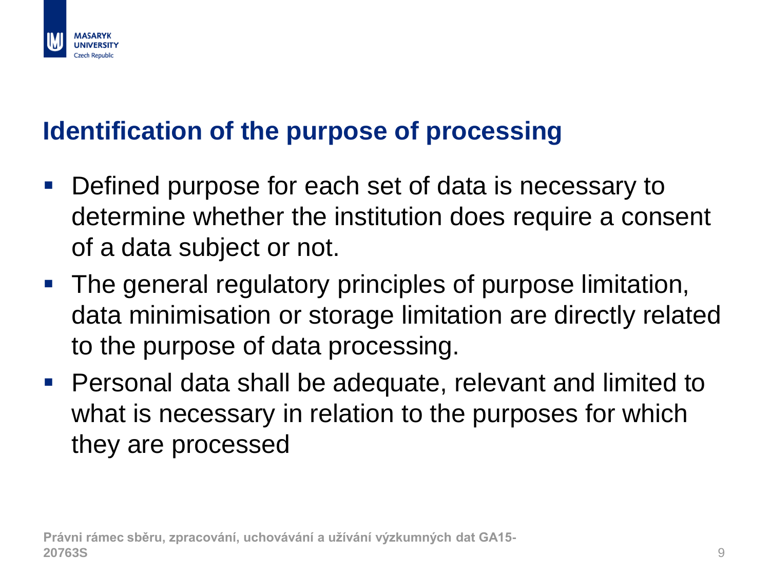

#### **Identification of the purpose of processing**

- Defined purpose for each set of data is necessary to determine whether the institution does require a consent of a data subject or not.
- The general regulatory principles of purpose limitation, data minimisation or storage limitation are directly related to the purpose of data processing.
- Personal data shall be adequate, relevant and limited to what is necessary in relation to the purposes for which they are processed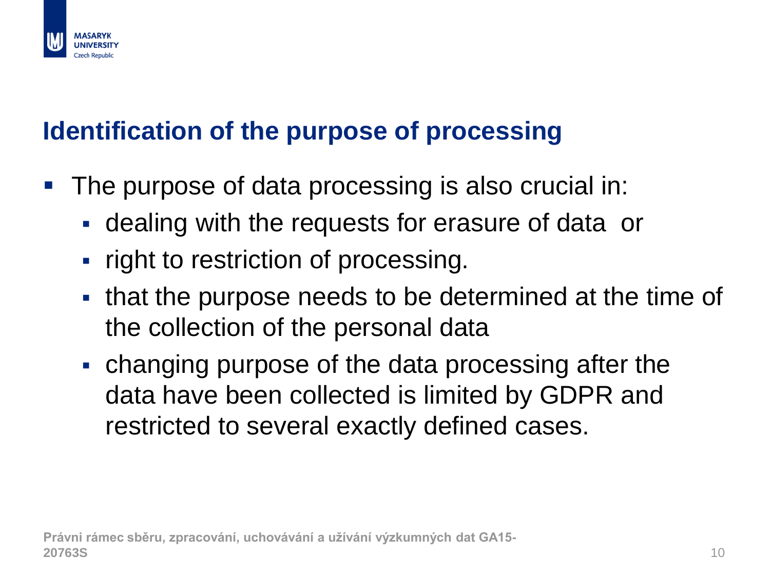### **Identification of the purpose of processing**

- **The purpose of data processing is also crucial in:** 
	- dealing with the requests for erasure of data or
	- right to restriction of processing.
	- that the purpose needs to be determined at the time of the collection of the personal data
	- changing purpose of the data processing after the data have been collected is limited by GDPR and restricted to several exactly defined cases.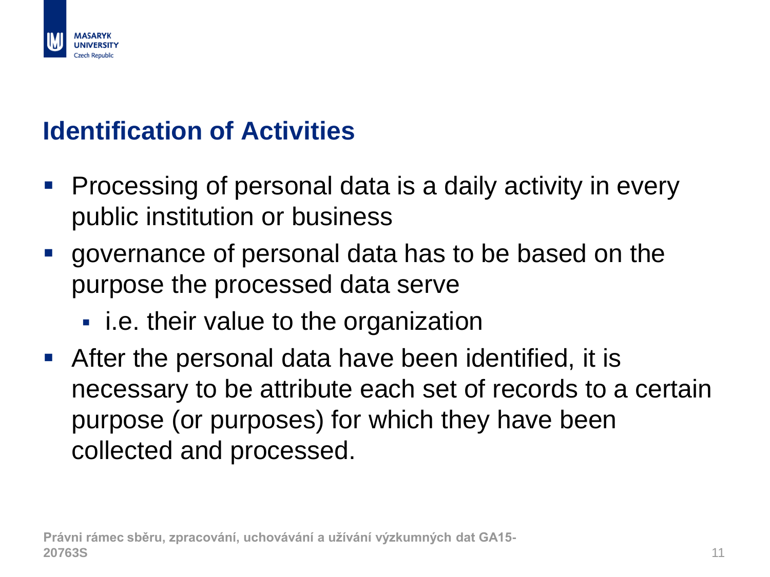

#### **Identification of Activities**

- **Processing of personal data is a daily activity in every** public institution or business
- governance of personal data has to be based on the purpose the processed data serve
	- **E** i.e. their value to the organization
- After the personal data have been identified, it is necessary to be attribute each set of records to a certain purpose (or purposes) for which they have been collected and processed.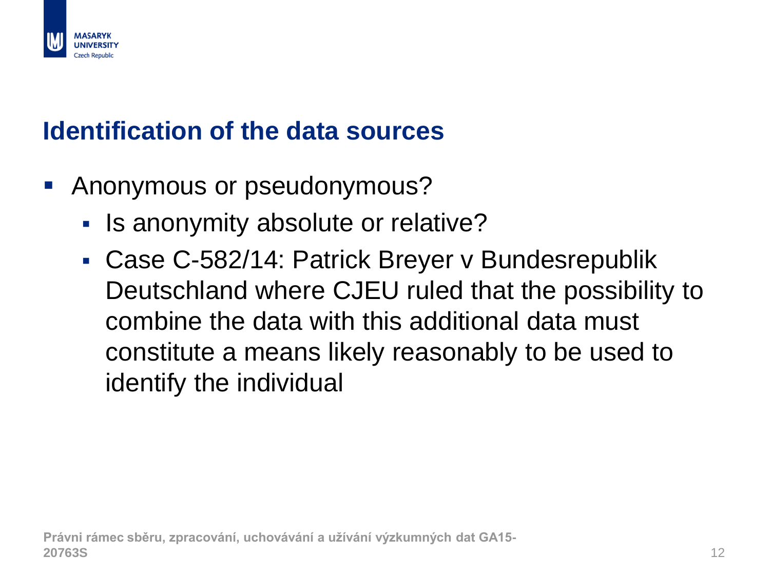

#### **Identification of the data sources**

- **Anonymous or pseudonymous?** 
	- If Is anonymity absolute or relative?
	- Case C-582/14: Patrick Breyer v Bundesrepublik Deutschland where CJEU ruled that the possibility to combine the data with this additional data must constitute a means likely reasonably to be used to identify the individual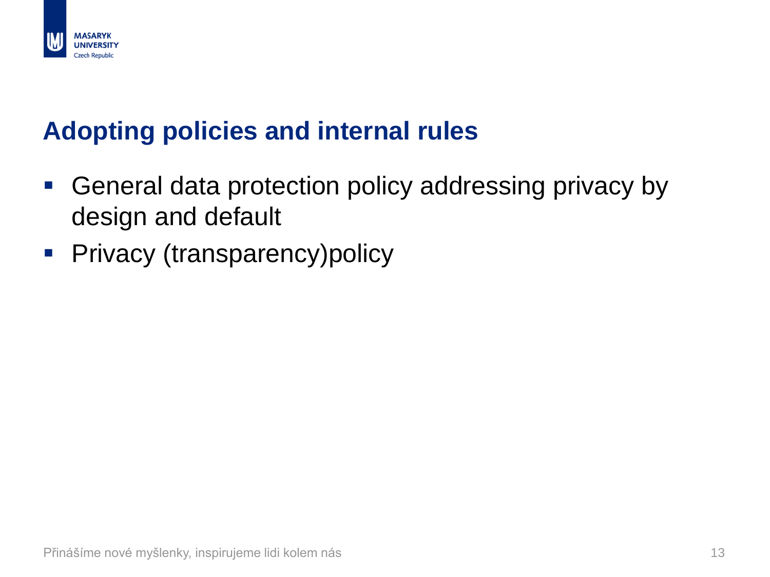

#### **Adopting policies and internal rules**

- General data protection policy addressing privacy by design and default
- **Privacy (transparency)policy**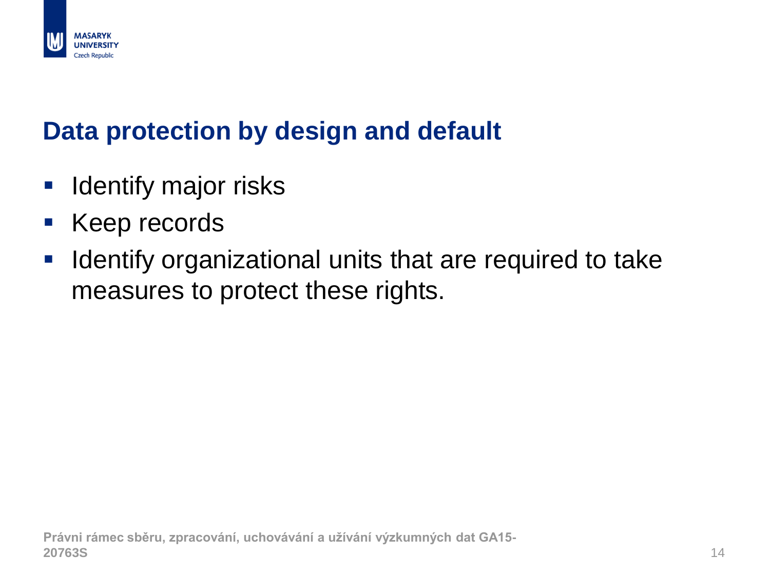

#### **Data protection by design and default**

- **I** Identify major risks
- **Keep records**
- **If Identify organizational units that are required to take** measures to protect these rights.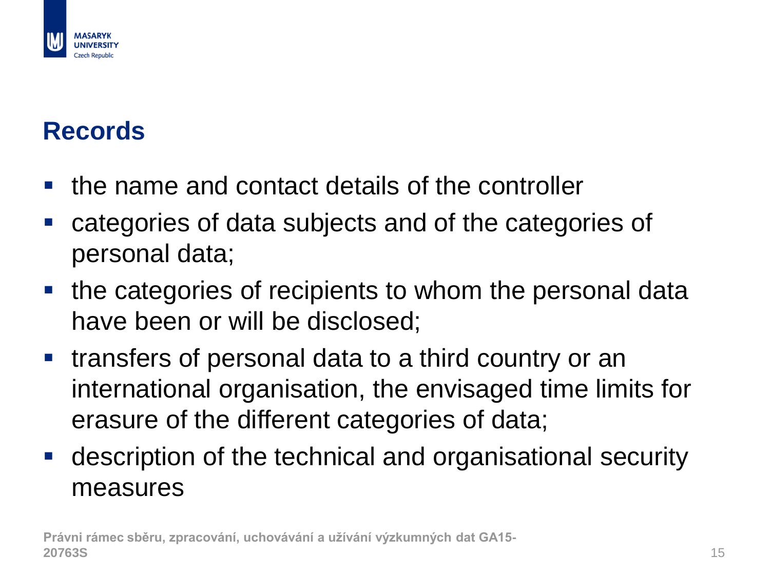

#### **Records**

- $\blacksquare$  the name and contact details of the controller
- categories of data subjects and of the categories of personal data;
- $\blacksquare$  the categories of recipients to whom the personal data have been or will be disclosed;
- **transfers of personal data to a third country or an** international organisation, the envisaged time limits for erasure of the different categories of data;
- description of the technical and organisational security measures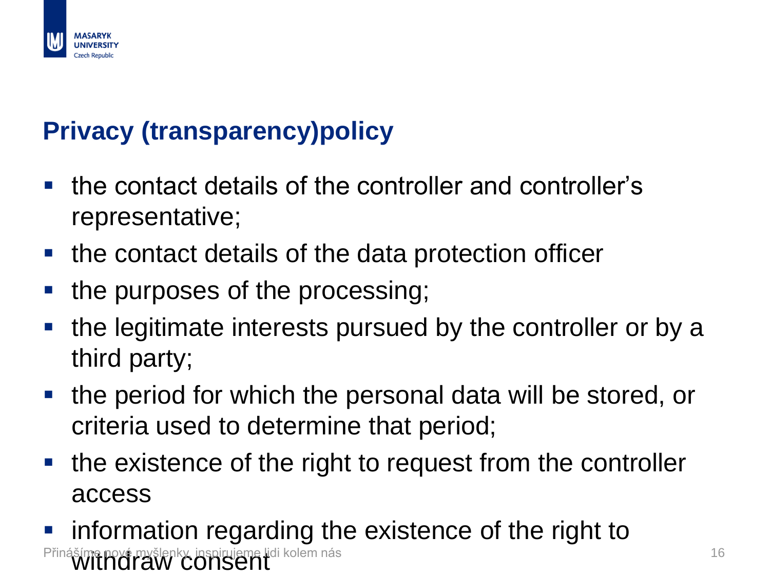

#### **Privacy (transparency)policy**

- the contact details of the controller and controller's representative;
- **the contact details of the data protection officer**
- the purposes of the processing;
- the legitimate interests pursued by the controller or by a third party;
- **the period for which the personal data will be stored, or** criteria used to determine that period;
- the existence of the right to request from the controller access
- **F** information regarding the existence of the right to inášíme nové myšlenky, inspirujeme lidi kolem nás 16. století a 16. století 16. století 16. století 16. stolet<br>16. století 1740 CONSENT